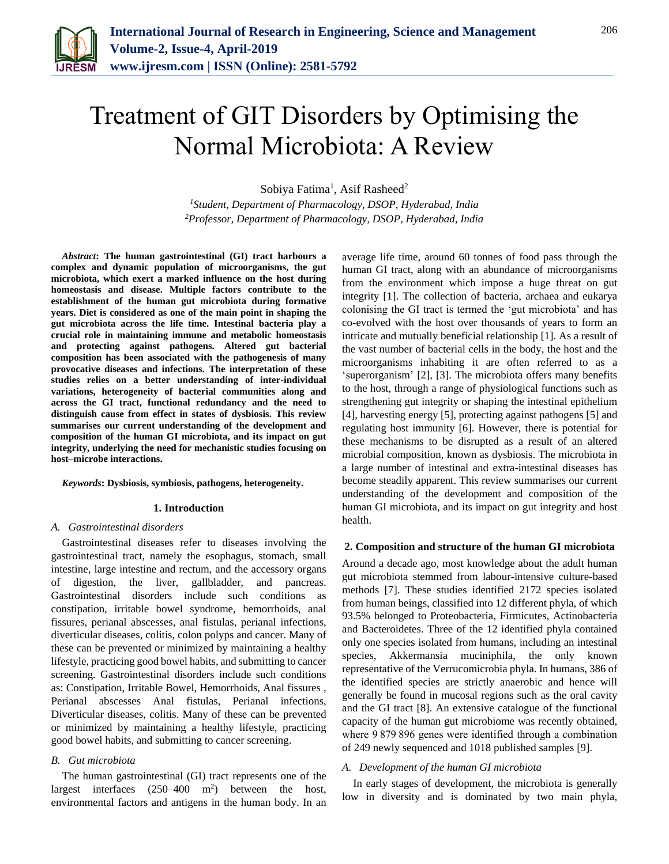

# Treatment of GIT Disorders by Optimising the Normal Microbiota: A Review

Sobiya Fatima<sup>1</sup>, Asif Rasheed<sup>2</sup>

*<sup>1</sup>Student, Department of Pharmacology, DSOP, Hyderabad, India 2Professor, Department of Pharmacology, DSOP, Hyderabad, India*

*Abstract***: The human gastrointestinal (GI) tract harbours a complex and dynamic population of microorganisms, the gut microbiota, which exert a marked influence on the host during homeostasis and disease. Multiple factors contribute to the establishment of the human gut microbiota during formative years. Diet is considered as one of the main point in shaping the gut microbiota across the life time. Intestinal bacteria play a crucial role in maintaining immune and metabolic homeostasis and protecting against pathogens. Altered gut bacterial composition has been associated with the pathogenesis of many provocative diseases and infections. The interpretation of these studies relies on a better understanding of inter-individual variations, heterogeneity of bacterial communities along and across the GI tract, functional redundancy and the need to distinguish cause from effect in states of dysbiosis. This review summarises our current understanding of the development and composition of the human GI microbiota, and its impact on gut integrity, underlying the need for mechanistic studies focusing on host–microbe interactions.**

### *Keywords***: Dysbiosis, symbiosis, pathogens, heterogeneity.**

### **1. Introduction**

### *A. Gastrointestinal disorders*

Gastrointestinal diseases refer to diseases involving the gastrointestinal tract, namely the esophagus, stomach, small intestine, large intestine and rectum, and the accessory organs of digestion, the liver, gallbladder, and pancreas. Gastrointestinal disorders include such conditions as constipation, irritable bowel syndrome, hemorrhoids, anal fissures, perianal abscesses, anal fistulas, perianal infections, diverticular diseases, colitis, colon polyps and cancer. Many of these can be prevented or minimized by maintaining a healthy lifestyle, practicing good bowel habits, and submitting to cancer screening. Gastrointestinal disorders include such conditions as: Constipation, Irritable Bowel, Hemorrhoids, Anal fissures , Perianal abscesses Anal fistulas, Perianal infections, Diverticular diseases, colitis. Many of these can be prevented or minimized by maintaining a healthy lifestyle, practicing good bowel habits, and submitting to cancer screening.

### *B. Gut microbiota*

The human gastrointestinal (GI) tract represents one of the largest interfaces  $(250-400 \text{ m}^2)$  between the host, environmental factors and antigens in the human body. In an

average life time, around 60 tonnes of food pass through the human GI tract, along with an abundance of microorganisms from the environment which impose a huge threat on gut integrity [1]. The collection of bacteria, archaea and eukarya colonising the GI tract is termed the 'gut microbiota' and has co-evolved with the host over thousands of years to form an intricate and mutually beneficial relationship [1]. As a result of the vast number of bacterial cells in the body, the host and the microorganisms inhabiting it are often referred to as a 'superorganism' [2], [3]. The microbiota offers many benefits to the host, through a range of physiological functions such as strengthening gut integrity or shaping the intestinal epithelium [4], harvesting energy [5], protecting against pathogens [5] and regulating host immunity [6]. However, there is potential for these mechanisms to be disrupted as a result of an altered microbial composition, known as dysbiosis. The microbiota in a large number of intestinal and extra-intestinal diseases has become steadily apparent. This review summarises our current understanding of the development and composition of the human GI microbiota, and its impact on gut integrity and host health.

### **2. Composition and structure of the human GI microbiota**

Around a decade ago, most knowledge about the adult human gut microbiota stemmed from labour-intensive culture-based methods [7]. These studies identified 2172 species isolated from human beings, classified into 12 different phyla, of which 93.5% belonged to Proteobacteria, Firmicutes, Actinobacteria and Bacteroidetes. Three of the 12 identified phyla contained only one species isolated from humans, including an intestinal species, Akkermansia muciniphila, the only known representative of the Verrucomicrobia phyla. In humans, 386 of the identified species are strictly anaerobic and hence will generally be found in mucosal regions such as the oral cavity and the GI tract [8]. An extensive catalogue of the functional capacity of the human gut microbiome was recently obtained, where 9 879 896 genes were identified through a combination of 249 newly sequenced and 1018 published samples [9].

### *A. Development of the human GI microbiota*

In early stages of development, the microbiota is generally low in diversity and is dominated by two main phyla,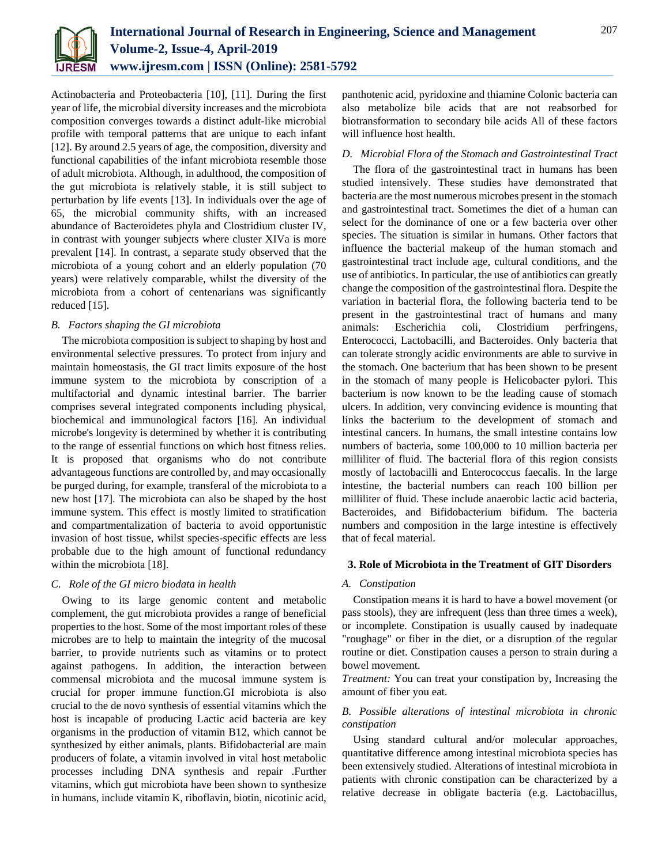

Actinobacteria and Proteobacteria [10], [11]. During the first year of life, the microbial diversity increases and the microbiota composition converges towards a distinct adult-like microbial profile with temporal patterns that are unique to each infant [12]. By around 2.5 years of age, the composition, diversity and functional capabilities of the infant microbiota resemble those of adult microbiota. Although, in adulthood, the composition of the gut microbiota is relatively stable, it is still subject to perturbation by life events [13]. In individuals over the age of 65, the microbial community shifts, with an increased abundance of Bacteroidetes phyla and Clostridium cluster IV, in contrast with younger subjects where cluster XIVa is more prevalent [14]. In contrast, a separate study observed that the microbiota of a young cohort and an elderly population (70 years) were relatively comparable, whilst the diversity of the microbiota from a cohort of centenarians was significantly reduced [15].

### *B. Factors shaping the GI microbiota*

The microbiota composition is subject to shaping by host and environmental selective pressures. To protect from injury and maintain homeostasis, the GI tract limits exposure of the host immune system to the microbiota by conscription of a multifactorial and dynamic intestinal barrier. The barrier comprises several integrated components including physical, biochemical and immunological factors [16]. An individual microbe's longevity is determined by whether it is contributing to the range of essential functions on which host fitness relies. It is proposed that organisms who do not contribute advantageous functions are controlled by, and may occasionally be purged during, for example, transferal of the microbiota to a new host [17]. The microbiota can also be shaped by the host immune system. This effect is mostly limited to stratification and compartmentalization of bacteria to avoid opportunistic invasion of host tissue, whilst species-specific effects are less probable due to the high amount of functional redundancy within the microbiota [18].

### *C. Role of the GI micro biodata in health*

Owing to its large genomic content and metabolic complement, the gut microbiota provides a range of beneficial properties to the host. Some of the most important roles of these microbes are to help to maintain the integrity of the mucosal barrier, to provide nutrients such as vitamins or to protect against pathogens. In addition, the interaction between commensal microbiota and the mucosal immune system is crucial for proper immune function.GI microbiota is also crucial to the de novo synthesis of essential vitamins which the host is incapable of producing Lactic acid bacteria are key organisms in the production of vitamin B12, which cannot be synthesized by either animals, plants. Bifidobacterial are main producers of folate, a vitamin involved in vital host metabolic processes including DNA synthesis and repair .Further vitamins, which gut microbiota have been shown to synthesize in humans, include vitamin K, riboflavin, biotin, nicotinic acid,

panthotenic acid, pyridoxine and thiamine Colonic bacteria can also metabolize bile acids that are not reabsorbed for biotransformation to secondary bile acids All of these factors will influence host health.

### *D. Microbial Flora of the Stomach and Gastrointestinal Tract*

The flora of the gastrointestinal tract in humans has been studied intensively. These studies have demonstrated that bacteria are the most numerous microbes present in the stomach and gastrointestinal tract. Sometimes the diet of a human can select for the dominance of one or a few bacteria over other species. The situation is similar in humans. Other factors that influence the bacterial makeup of the human stomach and gastrointestinal tract include age, cultural conditions, and the use of antibiotics. In particular, the use of antibiotics can greatly change the composition of the gastrointestinal flora. Despite the variation in bacterial flora, the following bacteria tend to be present in the gastrointestinal tract of humans and many animals: Escherichia coli, Clostridium perfringens, Enterococci, Lactobacilli, and Bacteroides. Only bacteria that can tolerate strongly acidic environments are able to survive in the stomach. One bacterium that has been shown to be present in the stomach of many people is Helicobacter pylori. This bacterium is now known to be the leading cause of stomach ulcers. In addition, very convincing evidence is mounting that links the bacterium to the development of stomach and intestinal cancers. In humans, the small intestine contains low numbers of bacteria, some 100,000 to 10 million bacteria per milliliter of fluid. The bacterial flora of this region consists mostly of lactobacilli and Enterococcus faecalis. In the large intestine, the bacterial numbers can reach 100 billion per milliliter of fluid. These include anaerobic lactic acid bacteria, Bacteroides, and Bifidobacterium bifidum. The bacteria numbers and composition in the large intestine is effectively that of fecal material.

### **3. Role of Microbiota in the Treatment of GIT Disorders**

### *A. Constipation*

Constipation means it is hard to have a bowel movement (or pass stools), they are infrequent (less than three times a week), or incomplete. Constipation is usually caused by inadequate "roughage" or fiber in the diet, or a disruption of the regular routine or diet. Constipation causes a person to strain during a bowel movement.

*Treatment:* You can treat your constipation by, Increasing the amount of fiber you eat.

## *B. Possible alterations of intestinal microbiota in chronic constipation*

Using standard cultural and/or molecular approaches, quantitative difference among intestinal microbiota species has been extensively studied. Alterations of intestinal microbiota in patients with chronic constipation can be characterized by a relative decrease in obligate bacteria (e.g. Lactobacillus,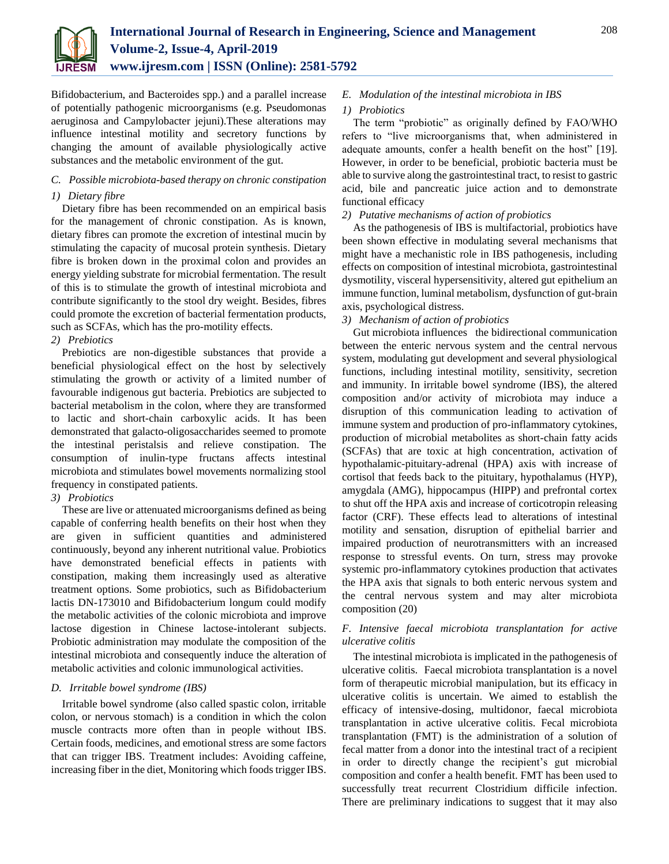

Bifidobacterium, and Bacteroides spp.) and a parallel increase of potentially pathogenic microorganisms (e.g. Pseudomonas aeruginosa and Campylobacter jejuni).These alterations may influence intestinal motility and secretory functions by changing the amount of available physiologically active substances and the metabolic environment of the gut.

# *C. Possible microbiota-based therapy on chronic constipation*

# *1) Dietary fibre*

Dietary fibre has been recommended on an empirical basis for the management of chronic constipation. As is known, dietary fibres can promote the excretion of intestinal mucin by stimulating the capacity of mucosal protein synthesis. Dietary fibre is broken down in the proximal colon and provides an energy yielding substrate for microbial fermentation. The result of this is to stimulate the growth of intestinal microbiota and contribute significantly to the stool dry weight. Besides, fibres could promote the excretion of bacterial fermentation products, such as SCFAs, which has the pro-motility effects.

# *2) Prebiotics*

Prebiotics are non-digestible substances that provide a beneficial physiological effect on the host by selectively stimulating the growth or activity of a limited number of favourable indigenous gut bacteria. Prebiotics are subjected to bacterial metabolism in the colon, where they are transformed to lactic and short-chain carboxylic acids. It has been demonstrated that galacto-oligosaccharides seemed to promote the intestinal peristalsis and relieve constipation. The consumption of inulin-type fructans affects intestinal microbiota and stimulates bowel movements normalizing stool frequency in constipated patients.

# *3) Probiotics*

These are live or attenuated microorganisms defined as being capable of conferring health benefits on their host when they are given in sufficient quantities and administered continuously, beyond any inherent nutritional value. Probiotics have demonstrated beneficial effects in patients with constipation, making them increasingly used as alterative treatment options. Some probiotics, such as Bifidobacterium lactis DN-173010 and Bifidobacterium longum could modify the metabolic activities of the colonic microbiota and improve lactose digestion in Chinese lactose-intolerant subjects. Probiotic administration may modulate the composition of the intestinal microbiota and consequently induce the alteration of metabolic activities and colonic immunological activities.

# *D. Irritable bowel syndrome (IBS)*

Irritable bowel syndrome (also called spastic colon, irritable colon, or nervous stomach) is a condition in which the colon muscle contracts more often than in people without IBS. Certain foods, medicines, and emotional stress are some factors that can trigger IBS. Treatment includes: Avoiding caffeine, increasing fiber in the diet, Monitoring which foods trigger IBS.

# *E. Modulation of the intestinal microbiota in IBS*

# *1) Probiotics*

The term "probiotic" as originally defined by FAO/WHO refers to "live microorganisms that, when administered in adequate amounts, confer a health benefit on the host" [19]. However, in order to be beneficial, probiotic bacteria must be able to survive along the gastrointestinal tract, to resist to gastric acid, bile and pancreatic juice action and to demonstrate functional efficacy

# *2) Putative mechanisms of action of probiotics*

As the pathogenesis of IBS is multifactorial, probiotics have been shown effective in modulating several mechanisms that might have a mechanistic role in IBS pathogenesis, including effects on composition of intestinal microbiota, gastrointestinal dysmotility, visceral hypersensitivity, altered gut epithelium an immune function, luminal metabolism, dysfunction of gut-brain axis, psychological distress.

# *3) Mechanism of action of probiotics*

Gut microbiota influences the bidirectional communication between the enteric nervous system and the central nervous system, modulating gut development and several physiological functions, including intestinal motility, sensitivity, secretion and immunity. In irritable bowel syndrome (IBS), the altered composition and/or activity of microbiota may induce a disruption of this communication leading to activation of immune system and production of pro-inflammatory cytokines, production of microbial metabolites as short-chain fatty acids (SCFAs) that are toxic at high concentration, activation of hypothalamic-pituitary-adrenal (HPA) axis with increase of cortisol that feeds back to the pituitary, hypothalamus (HYP), amygdala (AMG), hippocampus (HIPP) and prefrontal cortex to shut off the HPA axis and increase of corticotropin releasing factor (CRF). These effects lead to alterations of intestinal motility and sensation, disruption of epithelial barrier and impaired production of neurotransmitters with an increased response to stressful events. On turn, stress may provoke systemic pro-inflammatory cytokines production that activates the HPA axis that signals to both enteric nervous system and the central nervous system and may alter microbiota composition (20)

# *F. Intensive faecal microbiota transplantation for active ulcerative colitis*

The intestinal microbiota is implicated in the pathogenesis of ulcerative colitis. Faecal microbiota transplantation is a novel form of therapeutic microbial manipulation, but its efficacy in ulcerative colitis is uncertain. We aimed to establish the efficacy of intensive-dosing, multidonor, faecal microbiota transplantation in active ulcerative colitis. Fecal microbiota transplantation (FMT) is the administration of a solution of fecal matter from a donor into the intestinal tract of a recipient in order to directly change the recipient's gut microbial composition and confer a health benefit. FMT has been used to successfully treat recurrent Clostridium difficile infection. There are preliminary indications to suggest that it may also